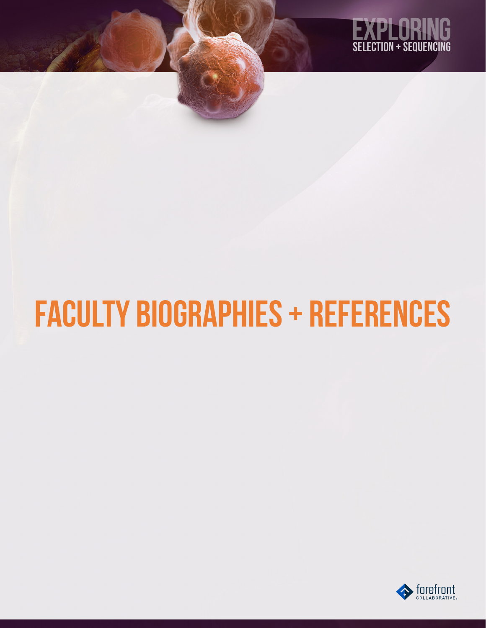

# faculty Biographies + References

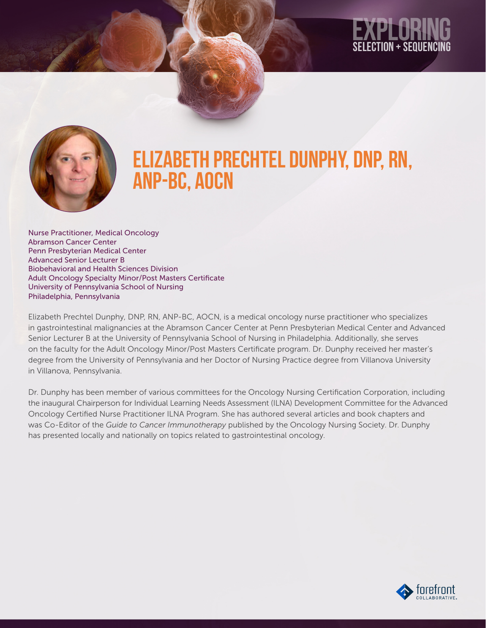

### Elizabeth Prechtel Dunphy, DNP, RN, ANP-BC, AOCN

Nurse Practitioner, Medical Oncology Abramson Cancer Center Penn Presbyterian Medical Center Advanced Senior Lecturer B Biobehavioral and Health Sciences Division Adult Oncology Specialty Minor/Post Masters Certificate University of Pennsylvania School of Nursing Philadelphia, Pennsylvania

Elizabeth Prechtel Dunphy, DNP, RN, ANP-BC, AOCN, is a medical oncology nurse practitioner who specializes in gastrointestinal malignancies at the Abramson Cancer Center at Penn Presbyterian Medical Center and Advanced Senior Lecturer B at the University of Pennsylvania School of Nursing in Philadelphia. Additionally, she serves on the faculty for the Adult Oncology Minor/Post Masters Certificate program. Dr. Dunphy received her master's degree from the University of Pennsylvania and her Doctor of Nursing Practice degree from Villanova University in Villanova, Pennsylvania.

Dr. Dunphy has been member of various committees for the Oncology Nursing Certification Corporation, including the inaugural Chairperson for Individual Learning Needs Assessment (ILNA) Development Committee for the Advanced Oncology Certified Nurse Practitioner ILNA Program. She has authored several articles and book chapters and was Co-Editor of the *Guide to Cancer Immunotherapy* published by the Oncology Nursing Society. Dr. Dunphy has presented locally and nationally on topics related to gastrointestinal oncology.

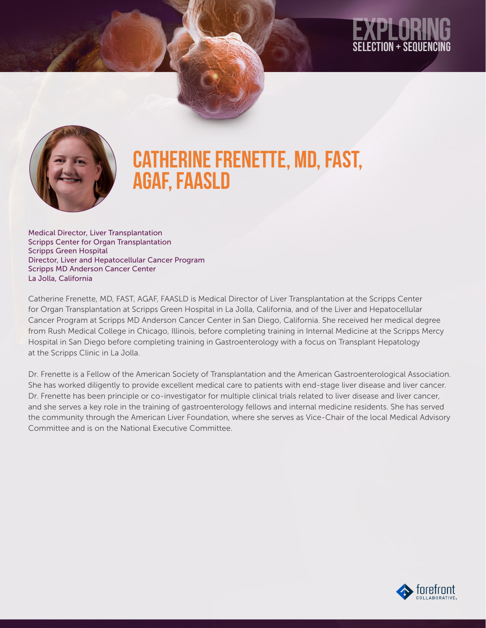

### CATHERINE FRENETTE, MD, FAST, AGAF, FAASLD

Medical Director, Liver Transplantation Scripps Center for Organ Transplantation Scripps Green Hospital Director, Liver and Hepatocellular Cancer Program Scripps MD Anderson Cancer Center La Jolla, California

Catherine Frenette, MD, FAST, AGAF, FAASLD is Medical Director of Liver Transplantation at the Scripps Center for Organ Transplantation at Scripps Green Hospital in La Jolla, California, and of the Liver and Hepatocellular Cancer Program at Scripps MD Anderson Cancer Center in San Diego, California. She received her medical degree from Rush Medical College in Chicago, Illinois, before completing training in Internal Medicine at the Scripps Mercy Hospital in San Diego before completing training in Gastroenterology with a focus on Transplant Hepatology at the Scripps Clinic in La Jolla.

Dr. Frenette is a Fellow of the American Society of Transplantation and the American Gastroenterological Association. She has worked diligently to provide excellent medical care to patients with end-stage liver disease and liver cancer. Dr. Frenette has been principle or co-investigator for multiple clinical trials related to liver disease and liver cancer, and she serves a key role in the training of gastroenterology fellows and internal medicine residents. She has served the community through the American Liver Foundation, where she serves as Vice-Chair of the local Medical Advisory Committee and is on the National Executive Committee.

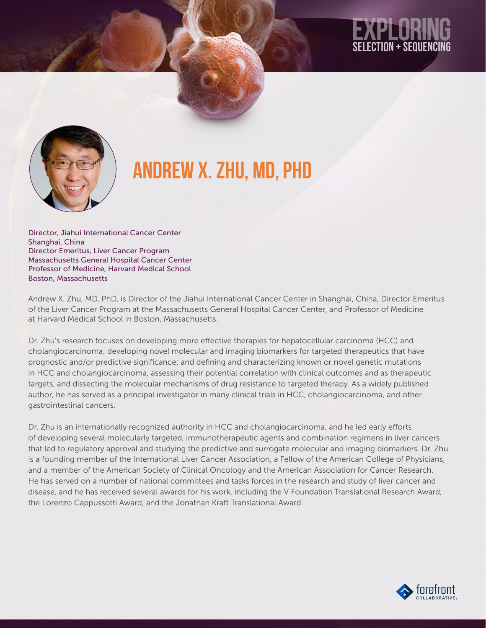# SELECTION + SEQUENC



## Andrew X. Zhu, MD, PhD

Director, Jiahui International Cancer Center Shanghai, China Director Emeritus, Liver Cancer Program Massachusetts General Hospital Cancer Center Professor of Medicine, Harvard Medical School Boston, Massachusetts

Andrew X. Zhu, MD, PhD, is Director of the Jiahui International Cancer Center in Shanghai, China, Director Emeritus of the Liver Cancer Program at the Massachusetts General Hospital Cancer Center, and Professor of Medicine at Harvard Medical School in Boston, Massachusetts.

Dr. Zhu's research focuses on developing more effective therapies for hepatocellular carcinoma (HCC) and cholangiocarcinoma; developing novel molecular and imaging biomarkers for targeted therapeutics that have prognostic and/or predictive significance; and defining and characterizing known or novel genetic mutations in HCC and cholangiocarcinoma, assessing their potential correlation with clinical outcomes and as therapeutic targets, and dissecting the molecular mechanisms of drug resistance to targeted therapy. As a widely published author, he has served as a principal investigator in many clinical trials in HCC, cholangiocarcinoma, and other gastrointestinal cancers.

Dr. Zhu is an internationally recognized authority in HCC and cholangiocarcinoma, and he led early efforts of developing several molecularly targeted, immunotherapeutic agents and combination regimens in liver cancers that led to regulatory approval and studying the predictive and surrogate molecular and imaging biomarkers. Dr. Zhu is a founding member of the International Liver Cancer Association, a Fellow of the American College of Physicians, and a member of the American Society of Clinical Oncology and the American Association for Cancer Research. He has served on a number of national committees and tasks forces in the research and study of liver cancer and disease, and he has received several awards for his work, including the V Foundation Translational Research Award, the Lorenzo Cappussotti Award, and the Jonathan Kraft Translational Award.

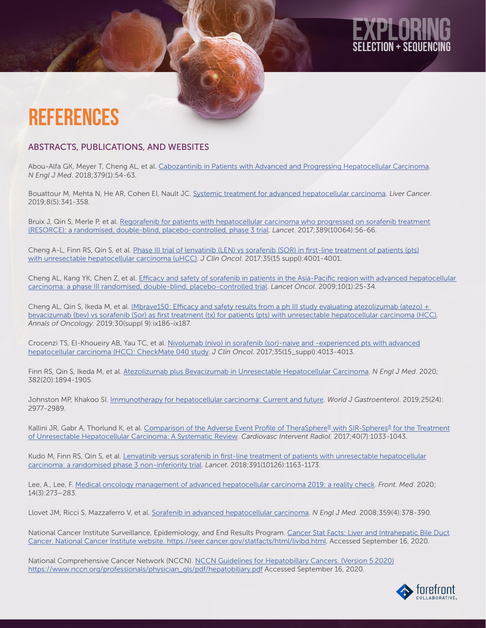# ECTION + SEOUENC

### **REFERENCES**

#### ABSTRACTS, PUBLICATIONS, AND WEBSITES

Abou-Alfa GK, Meyer T, Cheng AL, et al. [Cabozantinib in Patients with Advanced and Progressing Hepatocellular Carcinoma](https://www.nejm.org/doi/full/10.1056/nejmoa1717002). *N Engl J Med*. 2018;379(1):54-63.

Bouattour M, Mehta N, He AR, Cohen EI, Nault JC. [Systemic treatment for advanced hepatocellular carcinoma](https://www.karger.com/Article/FullText/496439). *Liver Cancer*. 2019;8(5):341-358.

Bruix J, Qin S, Merle P, et al. [Regorafenib for patients with hepatocellular carcinoma who progressed on sorafenib treatment](https://pubmed.ncbi.nlm.nih.gov/27932229/) [\(RESORCE\): a randomised, double-blind, placebo-controlled, phase 3 trial](https://pubmed.ncbi.nlm.nih.gov/27932229/). *Lancet*. 2017;389(10064):56-66.

Cheng A-L, Finn RS, Qin S, et al. [Phase III trial of lenvatinib \(LEN\) vs sorafenib \(SOR\) in first-line treatment of patients \(pts\)](https://ascopubs.org/doi/abs/10.1200/jco.2017.35.15_suppl.4001) [with unresectable hepatocellular carcinoma \(uHCC\)](https://ascopubs.org/doi/abs/10.1200/jco.2017.35.15_suppl.4001). *J Clin Oncol*. 2017;35(15 suppl):4001-4001.

Cheng AL, Kang YK, Chen Z, et al. [Efficacy and safety of sorafenib in patients in the Asia-Pacific region with advanced hepatocellular](https://pubmed.ncbi.nlm.nih.gov/19095497/)  [carcinoma: a phase III randomised, double-blind, placebo-controlled trial.](https://pubmed.ncbi.nlm.nih.gov/19095497/) *Lancet Oncol*. 2009;10(1):25-34.

Cheng AL, Qin S, Ikeda M, et al. *IMbrave150: Efficacy and safety results from a ph III study evaluating atezolizumab (atezo) +* [bevacizumab \(bev\) vs sorafenib \(Sor\) as first treatment \(tx\) for patients \(pts\) with unresectable hepatocellular carcinoma \(HCC\)](https://www.annalsofoncology.org/article/S0923-7534(19)58207-2/fulltext). *Annals of Oncology*. 2019;30(suppl 9):ix186-ix187.

Crocenzi TS, El-Khoueiry AB, Yau TC, et al. [Nivolumab \(nivo\) in sorafenib \(sor\)-naive and -experienced pts with advanced](https://ascopubs.org/doi/abs/10.1200/JCO.2017.35.15_suppl.4013/) [hepatocellular carcinoma \(HCC\): CheckMate 040 study.](https://ascopubs.org/doi/abs/10.1200/JCO.2017.35.15_suppl.4013/) *J Clin Oncol*. 2017;35(15\_suppl):4013-4013.

Finn RS, Qin S, Ikeda M, et al. [Atezolizumab plus Bevacizumab in Unresectable Hepatocellular Carcinoma.](https://www.nejm.org/doi/10.1056/NEJMoa1915745) *N Engl J Med*. 2020; 382(20):1894-1905.

Johnston MP, Khakoo SI. [Immunotherapy for hepatocellular carcinoma: Current and future.](https://www.wjgnet.com/1007-9327/full/v25/i24/2977.htm) *World J Gastroenterol*. 2019;25(24): 2977-2989.

Kallini JR, Gabr A, Thorlund K, et al. [Comparison of the Adverse Event Profile of TheraSphere® with SIR-Spheres® for the Treatment](https://pubmed.ncbi.nlm.nih.gov/28246879/) [of Unresectable Hepatocellular Carcinoma: A Systematic Review](https://pubmed.ncbi.nlm.nih.gov/28246879/). *Cardiovasc Intervent Radiol.* 2017;40(7):1033-1043.

Kudo M, Finn RS, Qin S, et al. [Lenvatinib versus sorafenib in first-line treatment of patients with unresectable hepatocellular](https://pubmed.ncbi.nlm.nih.gov/29433850/) [carcinoma: a randomised phase 3 non-inferiority trial.](https://pubmed.ncbi.nlm.nih.gov/29433850/) *Lancet*. 2018;391(10126):1163-1173.

Lee, A., Lee, F. [Medical oncology management of advanced hepatocellular carcinoma 2019: a reality check](https://pubmed.ncbi.nlm.nih.gov/31863306/). *Front. Med*. 2020; 14(3):273–283.

Llovet JM, Ricci S, Mazzaferro V, et al. [Sorafenib in advanced hepatocellular carcinoma](https://www.nejm.org/doi/full/10.1056/nejmoa0708857). *N Engl J Med*. 2008;359(4):378-390.

National Cancer Institute Surveillance, Epidemiology, and End Results Program. [Cancer Stat Facts: Liver and Intrahepatic Bile Duct](https://seer.cancer.gov/statfacts/html/livibd.html) [Cancer. National Cancer Institute website. https://seer.cancer.gov/statfacts/html/livibd.html.](https://seer.cancer.gov/statfacts/html/livibd.html) Accessed September 16, 2020.

National Comprehensive Cancer Network (NCCN). [NCCN Guidelines for Hepatobillary Cancers. \(Version 5.2020\)](https://www.nccn.org/) [https://www.nccn.org/professionals/physician\\_gls/pdf/hepatobiliary.pdf](https://www.nccn.org/) Accessed September 16, 2020.

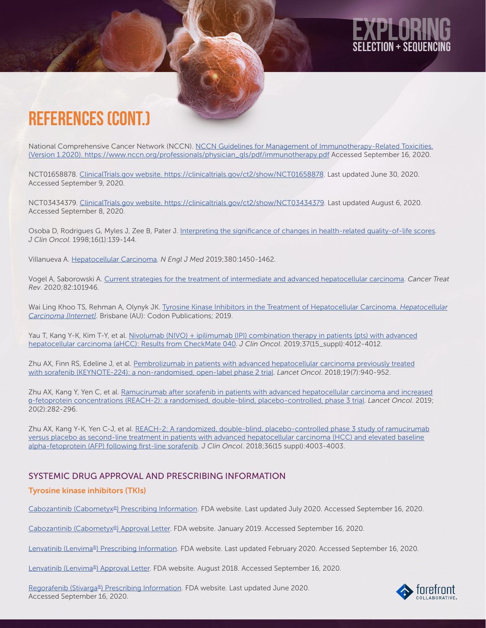# ECTION + SEOUENC

### References (cont.)

National Comprehensive Cancer Network (NCCN). [NCCN Guidelines for Management of Immunotherapy-Related Toxicities.](https://www.nccn.org/) [\(Version 1.2020\). https://www.nccn.org/professionals/physician\\_gls/pdf/immunotherapy.pdf](https://www.nccn.org/) Accessed September 16, 2020.

NCT01658878. [ClinicalTrials.gov website. https://clinicaltrials.gov/ct2/show/NCT01658878.](https://clinicaltrials.gov/ct2/show/NCT01658878) Last updated June 30, 2020. Accessed September 9, 2020.

NCT03434379. [ClinicalTrials.gov website. https://clinicaltrials.gov/ct2/show/NCT03434379](https://clinicaltrials.gov/ct2/show/NCT03434379). Last updated August 6, 2020. Accessed September 8, 2020.

Osoba D, Rodrigues G, Myles J, Zee B, Pater J. [Interpreting the significance of changes in health-related quality-of-life scores](https://pubmed.ncbi.nlm.nih.gov/9440735/). *J Clin Oncol.* 1998;16(1):139-144.

Villanueva A. [Hepatocellular Carcinoma.](https://www.nejm.org/doi/full/10.1056/NEJMra1713263) *N Engl J Med* 2019;380:1450-1462.

Vogel A, Saborowski A. [Current strategies for the treatment of intermediate and advanced hepatocellular carcinoma](https://pubmed.ncbi.nlm.nih.gov/31830641/). *Cancer Treat Rev*. 2020;82:101946.

Wai Ling Khoo TS, Rehman A, Olynyk JK. [Tyrosine Kinase Inhibitors in the Treatment of Hepatocellular Carcinoma.](https://www.ncbi.nlm.nih.gov/books/NBK549199/) *Hepatocellular [Carcinoma \[Internet\]](https://www.ncbi.nlm.nih.gov/books/NBK549199/)*. Brisbane (AU): Codon Publications; 2019.

Yau T, Kang Y-K, Kim T-Y, et al. [Nivolumab \(NIVO\) + ipilimumab \(IPI\) combination therapy in patients \(pts\) with advanced](https://ascopubs.org/doi/abs/10.1200/JCO.2019.37.15_suppl.4012) [hepatocellular carcinoma \(aHCC\): Results from CheckMate 040](https://ascopubs.org/doi/abs/10.1200/JCO.2019.37.15_suppl.4012). *J Clin Oncol*. 2019;37(15\_suppl):4012-4012.

Zhu AX, Finn RS, Edeline J, et al. [Pembrolizumab in patients with advanced hepatocellular carcinoma previously treated](https://pubmed.ncbi.nlm.nih.gov/29875066/) [with sorafenib \(KEYNOTE-224\): a non-randomised, open-label phase 2 trial](https://pubmed.ncbi.nlm.nih.gov/29875066/). *Lancet Oncol*. 2018;19(7):940-952.

Zhu AX, Kang Y, Yen C, et al. [Ramucirumab after sorafenib in patients with advanced hepatocellular carcinoma and increased](https://pubmed.ncbi.nlm.nih.gov/30665869/) α[-fetoprotein concentrations \(REACH-2\): a randomised, double-blind, placebo-controlled, phase 3 trial](https://pubmed.ncbi.nlm.nih.gov/30665869/). *Lancet Oncol*. 2019; 20(2):282-296.

Zhu AX, Kang Y-K, Yen C-J, et al. [REACH-2: A randomized, double-blind, placebo-controlled phase 3 study of ramucirumab](https://ascopubs.org/doi/abs/10.1200/JCO.2018.36.15_suppl.4003) [versus placebo as second-line treatment in patients with advanced hepatocellular carcinoma \(HCC\) and elevated baseline](https://ascopubs.org/doi/abs/10.1200/JCO.2018.36.15_suppl.4003) [alpha-fetoprotein \(AFP\) following first-line sorafenib.](https://ascopubs.org/doi/abs/10.1200/JCO.2018.36.15_suppl.4003) *J Clin Oncol*. 2018;36(15 suppl):4003-4003.

#### SYSTEMIC DRUG APPROVAL AND PRESCRIBING INFORMATION

#### Tyrosine kinase inhibitors (TKIs)

[Cabozantinib \(Cabometyx®\) Prescribing Information.](https://www.accessdata.fda.gov/drugsatfda_docs/label/2020/208692s008lbl.pdf) FDA website. Last updated July 2020. Accessed September 16, 2020.

[Cabozantinib \(Cabometyx®\) Approval Letter](https://www.accessdata.fda.gov/drugsatfda_docs/appletter/2019/208692Orig1s003ltr.pdf). FDA website. January 2019. Accessed September 16, 2020.

[Lenvatinib \(Lenvima®\) Prescribing Information](https://www.accessdata.fda.gov/drugsatfda_docs/label/2020/206947Orig1s012lbl.pdf). FDA website. Last updated February 2020. Accessed September 16, 2020.

[Lenvatinib \(Lenvima®\) Approval Letter.](https://www.accessdata.fda.gov/drugsatfda_docs/appletter/2018/206947Orig1s007ltr.pdf) FDA website. August 2018. Accessed September 16, 2020.

[Regorafenib \(Stivarga®\) Prescribing Information.](https://www.accessdata.fda.gov/drugsatfda_docs/label/2020/203085s013lbl.pdf) FDA website. Last updated June 2020. Accessed September 16, 2020.